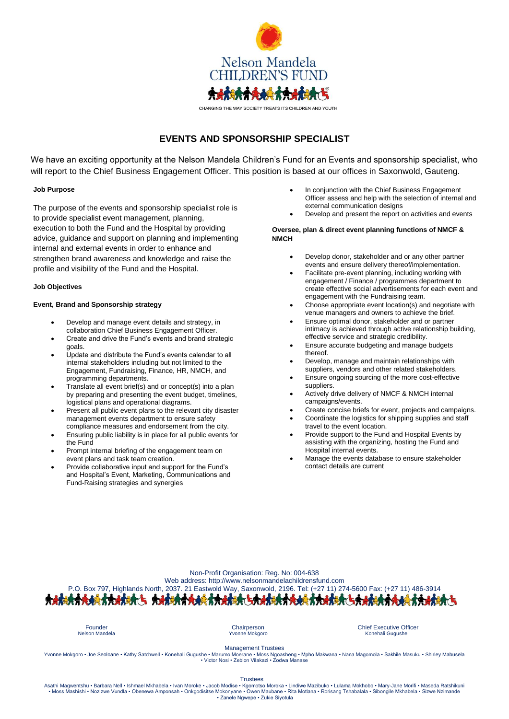

# **EVENTS AND SPONSORSHIP SPECIALIST**

We have an exciting opportunity at the Nelson Mandela Children's Fund for an Events and sponsorship specialist, who will report to the Chief Business Engagement Officer. This position is based at our offices in Saxonwold, Gauteng.

# **Job Purpose**

The purpose of the events and sponsorship specialist role is to provide specialist event management, planning, execution to both the Fund and the Hospital by providing advice, guidance and support on planning and implementing internal and external events in order to enhance and strengthen brand awareness and knowledge and raise the profile and visibility of the Fund and the Hospital.

## **Job Objectives**

# **Event, Brand and Sponsorship strategy**

- Develop and manage event details and strategy, in collaboration Chief Business Engagement Officer.
- Create and drive the Fund's events and brand strategic goals.
- Update and distribute the Fund's events calendar to all internal stakeholders including but not limited to the Engagement, Fundraising, Finance, HR, NMCH, and programming departments.
- Translate all event brief(s) and or concept(s) into a plan by preparing and presenting the event budget, timelines, logistical plans and operational diagrams.
- Present all public event plans to the relevant city disaster management events department to ensure safety compliance measures and endorsement from the city.
- Ensuring public liability is in place for all public events for the Fund
- Prompt internal briefing of the engagement team on event plans and task team creation.
- Provide collaborative input and support for the Fund's and Hospital's Event, Marketing, Communications and Fund-Raising strategies and synergies
- In conjunction with the Chief Business Engagement Officer assess and help with the selection of internal and external communication designs
- Develop and present the report on activities and events

# **Oversee, plan & direct event planning functions of NMCF & NMCH**

- Develop donor, stakeholder and or any other partner events and ensure delivery thereof/implementation.
- Facilitate pre-event planning, including working with engagement / Finance / programmes department to create effective social advertisements for each event and engagement with the Fundraising team.
- Choose appropriate event location(s) and negotiate with venue managers and owners to achieve the brief.
- Ensure optimal donor, stakeholder and or partner intimacy is achieved through active relationship building, effective service and strategic credibility.
- Ensure accurate budgeting and manage budgets thereof.
- Develop, manage and maintain relationships with suppliers, vendors and other related stakeholders.
- Ensure ongoing sourcing of the more cost-effective suppliers.
- Actively drive delivery of NMCF & NMCH internal campaigns/events.
- Create concise briefs for event, projects and campaigns.
- Coordinate the logistics for shipping supplies and staff travel to the event location.
- Provide support to the Fund and Hospital Events by assisting with the organizing, hosting the Fund and Hospital internal events.
- Manage the events database to ensure stakeholder contact details are current

| Non-Profit Organisation: Reg. No: 004-638                                                                            |
|----------------------------------------------------------------------------------------------------------------------|
| Web address: http://www.nelsonmandelachildrensfund.com                                                               |
| P.O. Box 797, Highlands North, 2037. 21 Eastwold Way, Saxonwold, 2196. Tel: (+27 11) 274-5600 Fax: (+27 11) 486-3914 |
|                                                                                                                      |
|                                                                                                                      |

Founder Chairperson Chief Executive Officer Konehali Gugushe

Management Trustees

Yvonne Mokgoro • Joe Seoloane • Kathy Satchwell • Konehali Gugushe • Marumo Moerane • Moss Ngoasheng • Mpho Makwana • Nana Magomola • Sakhile Masuku • Shirley Mabusela • Victor Nosi • Zeblon Vilakazi • Zodwa Manase

Trustees<br>Asathi Magwentshu • Barbara Nell • Ishmael Mkhabela • Ivan Moroke • Jacob Modise • Kgomotso Moroka • Lindiwe Mazibuko • Lulama Mokhobo • Mary-Jane Morifi • Maseda Ratshikuni • Moss Mashishi • Nozizwe Vundla • Obenewa Amponsah • Onkgodisitse Mokonyane • Owen Maubane • Rita Motlana • Rorisang Tshabalala • Sibongile Mkhabela • Sizwe Nzimande • Zanele Ngwepe • Zukie Siyotula